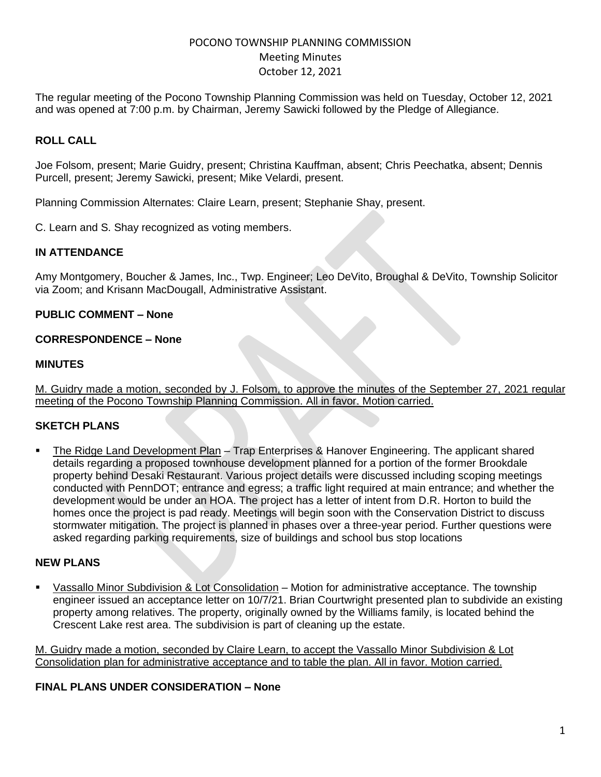# POCONO TOWNSHIP PLANNING COMMISSION Meeting Minutes October 12, 2021

The regular meeting of the Pocono Township Planning Commission was held on Tuesday, October 12, 2021 and was opened at 7:00 p.m. by Chairman, Jeremy Sawicki followed by the Pledge of Allegiance.

## **ROLL CALL**

Joe Folsom, present; Marie Guidry, present; Christina Kauffman, absent; Chris Peechatka, absent; Dennis Purcell, present; Jeremy Sawicki, present; Mike Velardi, present.

Planning Commission Alternates: Claire Learn, present; Stephanie Shay, present.

C. Learn and S. Shay recognized as voting members.

#### **IN ATTENDANCE**

Amy Montgomery, Boucher & James, Inc., Twp. Engineer; Leo DeVito, Broughal & DeVito, Township Solicitor via Zoom; and Krisann MacDougall, Administrative Assistant.

#### **PUBLIC COMMENT – None**

### **CORRESPONDENCE – None**

#### **MINUTES**

M. Guidry made a motion, seconded by J. Folsom, to approve the minutes of the September 27, 2021 regular meeting of the Pocono Township Planning Commission. All in favor. Motion carried.

#### **SKETCH PLANS**

■ The Ridge Land Development Plan – Trap Enterprises & Hanover Engineering. The applicant shared details regarding a proposed townhouse development planned for a portion of the former Brookdale property behind Desaki Restaurant. Various project details were discussed including scoping meetings conducted with PennDOT; entrance and egress; a traffic light required at main entrance; and whether the development would be under an HOA. The project has a letter of intent from D.R. Horton to build the homes once the project is pad ready. Meetings will begin soon with the Conservation District to discuss stormwater mitigation. The project is planned in phases over a three-year period. Further questions were asked regarding parking requirements, size of buildings and school bus stop locations

#### **NEW PLANS**

Vassallo Minor Subdivision & Lot Consolidation – Motion for administrative acceptance. The township engineer issued an acceptance letter on 10/7/21. Brian Courtwright presented plan to subdivide an existing property among relatives. The property, originally owned by the Williams family, is located behind the Crescent Lake rest area. The subdivision is part of cleaning up the estate.

M. Guidry made a motion, seconded by Claire Learn, to accept the Vassallo Minor Subdivision & Lot Consolidation plan for administrative acceptance and to table the plan. All in favor. Motion carried.

#### **FINAL PLANS UNDER CONSIDERATION – None**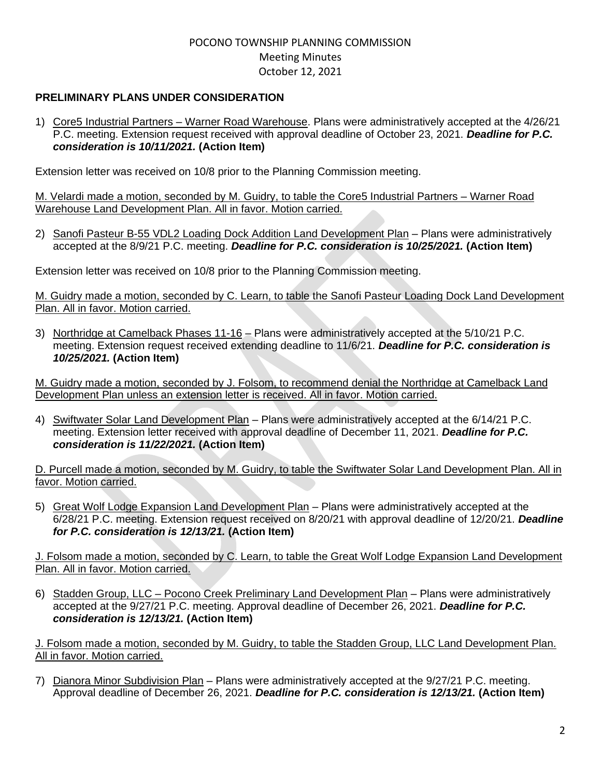## POCONO TOWNSHIP PLANNING COMMISSION Meeting Minutes October 12, 2021

### **PRELIMINARY PLANS UNDER CONSIDERATION**

1) Core5 Industrial Partners – Warner Road Warehouse. Plans were administratively accepted at the 4/26/21 P.C. meeting. Extension request received with approval deadline of October 23, 2021. *Deadline for P.C. consideration is 10/11/2021.* **(Action Item)**

Extension letter was received on 10/8 prior to the Planning Commission meeting.

M. Velardi made a motion, seconded by M. Guidry, to table the Core5 Industrial Partners – Warner Road Warehouse Land Development Plan. All in favor. Motion carried.

2) Sanofi Pasteur B-55 VDL2 Loading Dock Addition Land Development Plan – Plans were administratively accepted at the 8/9/21 P.C. meeting. *Deadline for P.C. consideration is 10/25/2021.* **(Action Item)**

Extension letter was received on 10/8 prior to the Planning Commission meeting.

M. Guidry made a motion, seconded by C. Learn, to table the Sanofi Pasteur Loading Dock Land Development Plan. All in favor. Motion carried.

3) Northridge at Camelback Phases 11-16 – Plans were administratively accepted at the 5/10/21 P.C. meeting. Extension request received extending deadline to 11/6/21. *Deadline for P.C. consideration is 10/25/2021.* **(Action Item)**

M. Guidry made a motion, seconded by J. Folsom, to recommend denial the Northridge at Camelback Land Development Plan unless an extension letter is received. All in favor. Motion carried.

4) Swiftwater Solar Land Development Plan - Plans were administratively accepted at the 6/14/21 P.C. meeting. Extension letter received with approval deadline of December 11, 2021. *Deadline for P.C. consideration is 11/22/2021.* **(Action Item)**

D. Purcell made a motion, seconded by M. Guidry, to table the Swiftwater Solar Land Development Plan. All in favor. Motion carried.

5) Great Wolf Lodge Expansion Land Development Plan - Plans were administratively accepted at the 6/28/21 P.C. meeting. Extension request received on 8/20/21 with approval deadline of 12/20/21. *Deadline for P.C. consideration is 12/13/21.* **(Action Item)**

J. Folsom made a motion, seconded by C. Learn, to table the Great Wolf Lodge Expansion Land Development Plan. All in favor. Motion carried.

6) Stadden Group, LLC – Pocono Creek Preliminary Land Development Plan – Plans were administratively accepted at the 9/27/21 P.C. meeting. Approval deadline of December 26, 2021. *Deadline for P.C. consideration is 12/13/21.* **(Action Item)**

J. Folsom made a motion, seconded by M. Guidry, to table the Stadden Group, LLC Land Development Plan. All in favor. Motion carried.

7) Dianora Minor Subdivision Plan – Plans were administratively accepted at the 9/27/21 P.C. meeting. Approval deadline of December 26, 2021. *Deadline for P.C. consideration is 12/13/21.* **(Action Item)**